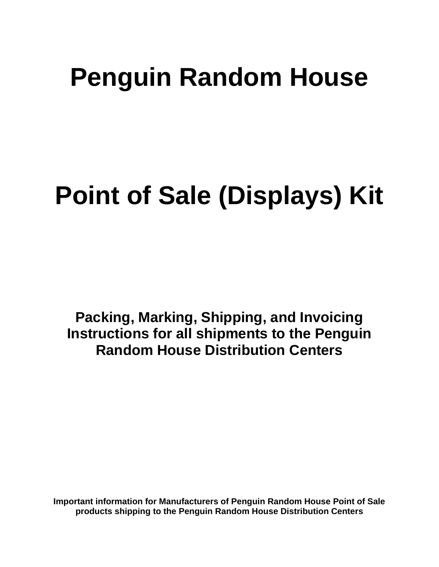# **Penguin Random House**

# **Point of Sale (Displays) Kit**

**Packing, Marking, Shipping, and Invoicing Instructions for all shipments to the Penguin Random House Distribution Centers**

**Important information for Manufacturers of Penguin Random House Point of Sale products shipping to the Penguin Random House Distribution Centers**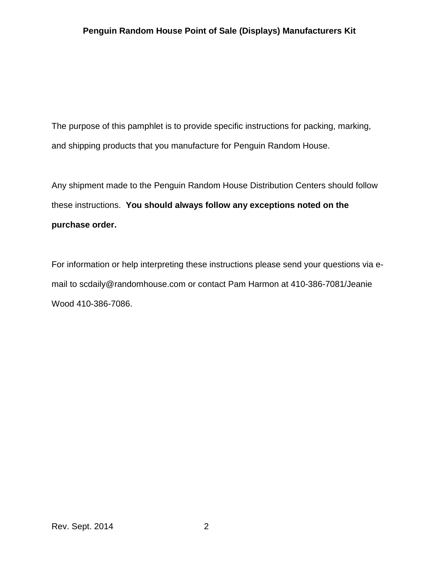The purpose of this pamphlet is to provide specific instructions for packing, marking, and shipping products that you manufacture for Penguin Random House.

Any shipment made to the Penguin Random House Distribution Centers should follow these instructions. **You should always follow any exceptions noted on the purchase order.**

For information or help interpreting these instructions please send your questions via email to scdaily@randomhouse.com or contact Pam Harmon at 410-386-7081/Jeanie Wood 410-386-7086.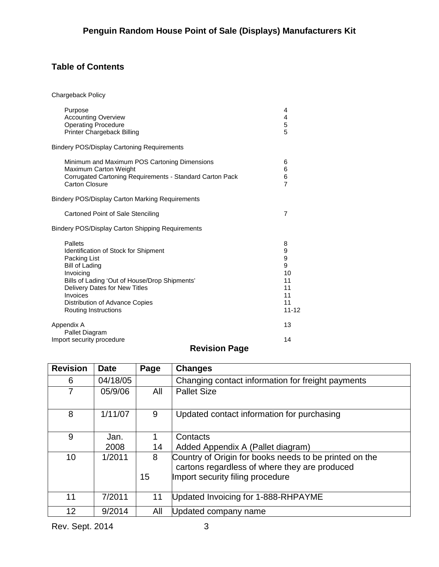# **Table of Contents**

Chargeback Policy

| Purpose<br><b>Accounting Overview</b><br><b>Operating Procedure</b><br>Printer Chargeback Billing                                                                                                                                                             | 4<br>4<br>5<br>5                                            |
|---------------------------------------------------------------------------------------------------------------------------------------------------------------------------------------------------------------------------------------------------------------|-------------------------------------------------------------|
| <b>Bindery POS/Display Cartoning Requirements</b>                                                                                                                                                                                                             |                                                             |
| Minimum and Maximum POS Cartoning Dimensions<br>Maximum Carton Weight<br>Corrugated Cartoning Requirements - Standard Carton Pack<br>Carton Closure                                                                                                           | 6<br>6<br>6<br>$\overline{7}$                               |
| <b>Bindery POS/Display Carton Marking Requirements</b>                                                                                                                                                                                                        |                                                             |
| Cartoned Point of Sale Stenciling                                                                                                                                                                                                                             | 7                                                           |
| Bindery POS/Display Carton Shipping Requirements                                                                                                                                                                                                              |                                                             |
| Pallets<br>Identification of Stock for Shipment<br>Packing List<br><b>Bill of Lading</b><br>Invoicing<br>Bills of Lading 'Out of House/Drop Shipments'<br>Delivery Dates for New Titles<br>Invoices<br>Distribution of Advance Copies<br>Routing Instructions | 8<br>9<br>9<br>9<br>10<br>11<br>11<br>11<br>11<br>$11 - 12$ |
| Appendix A                                                                                                                                                                                                                                                    | 13                                                          |
| Pallet Diagram<br>Import security procedure                                                                                                                                                                                                                   | 14                                                          |

# **Revision Page**

| <b>Revision</b> | <b>Date</b> | Page    | <b>Changes</b>                                                                                                                              |
|-----------------|-------------|---------|---------------------------------------------------------------------------------------------------------------------------------------------|
| 6               | 04/18/05    |         | Changing contact information for freight payments                                                                                           |
| $\overline{7}$  | 05/9/06     | All     | <b>Pallet Size</b>                                                                                                                          |
| 8               | 1/11/07     | 9       | Updated contact information for purchasing                                                                                                  |
| 9               | Jan.        | 1       | Contacts                                                                                                                                    |
|                 | 2008        | 14      | Added Appendix A (Pallet diagram)                                                                                                           |
| 10              | 1/2011      | 8<br>15 | Country of Origin for books needs to be printed on the<br>cartons regardless of where they are produced<br>Import security filing procedure |
| 11              | 7/2011      | 11      | Updated Invoicing for 1-888-RHPAYME                                                                                                         |
| 12              | 9/2014      | All     | Updated company name                                                                                                                        |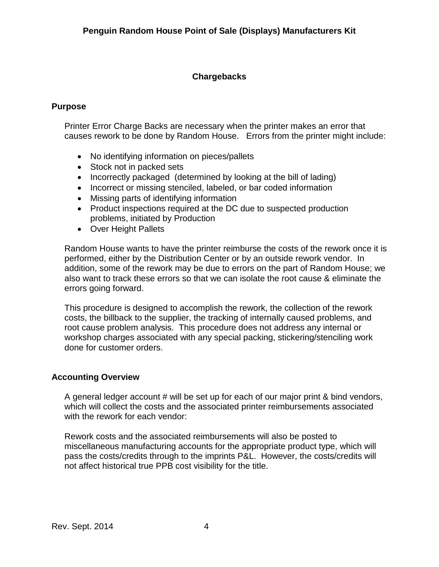# **Chargebacks**

### **Purpose**

Printer Error Charge Backs are necessary when the printer makes an error that causes rework to be done by Random House. Errors from the printer might include:

- No identifying information on pieces/pallets
- Stock not in packed sets
- Incorrectly packaged (determined by looking at the bill of lading)
- Incorrect or missing stenciled, labeled, or bar coded information
- Missing parts of identifying information
- Product inspections required at the DC due to suspected production problems, initiated by Production
- Over Height Pallets

Random House wants to have the printer reimburse the costs of the rework once it is performed, either by the Distribution Center or by an outside rework vendor. In addition, some of the rework may be due to errors on the part of Random House; we also want to track these errors so that we can isolate the root cause & eliminate the errors going forward.

This procedure is designed to accomplish the rework, the collection of the rework costs, the billback to the supplier, the tracking of internally caused problems, and root cause problem analysis. This procedure does not address any internal or workshop charges associated with any special packing, stickering/stenciling work done for customer orders.

#### **Accounting Overview**

A general ledger account # will be set up for each of our major print & bind vendors, which will collect the costs and the associated printer reimbursements associated with the rework for each vendor:

Rework costs and the associated reimbursements will also be posted to miscellaneous manufacturing accounts for the appropriate product type, which will pass the costs/credits through to the imprints P&L. However, the costs/credits will not affect historical true PPB cost visibility for the title.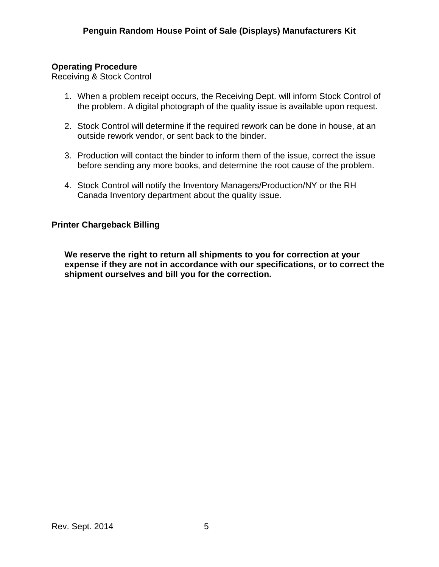# **Operating Procedure**

Receiving & Stock Control

- 1. When a problem receipt occurs, the Receiving Dept. will inform Stock Control of the problem. A digital photograph of the quality issue is available upon request.
- 2. Stock Control will determine if the required rework can be done in house, at an outside rework vendor, or sent back to the binder.
- 3. Production will contact the binder to inform them of the issue, correct the issue before sending any more books, and determine the root cause of the problem.
- 4. Stock Control will notify the Inventory Managers/Production/NY or the RH Canada Inventory department about the quality issue.

# **Printer Chargeback Billing**

**We reserve the right to return all shipments to you for correction at your expense if they are not in accordance with our specifications, or to correct the shipment ourselves and bill you for the correction.**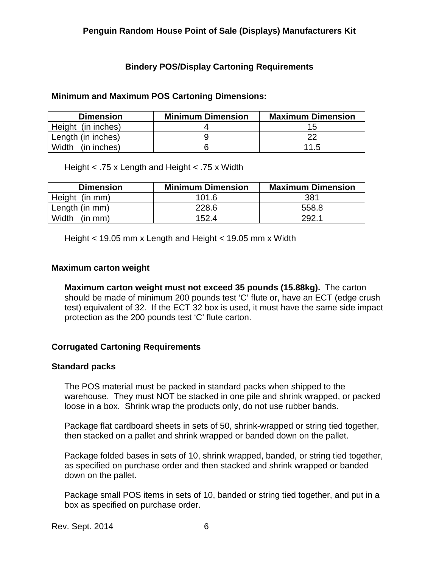# **Bindery POS/Display Cartoning Requirements**

#### **Minimum and Maximum POS Cartoning Dimensions:**

| <b>Dimension</b>   | <b>Minimum Dimension</b> | <b>Maximum Dimension</b> |
|--------------------|--------------------------|--------------------------|
| Height (in inches) |                          |                          |
| Length (in inches) |                          |                          |
| Width (in inches)  |                          | 11.5                     |

Height < .75 x Length and Height < .75 x Width

| <b>Dimension</b> | <b>Minimum Dimension</b> | <b>Maximum Dimension</b> |
|------------------|--------------------------|--------------------------|
| Height (in mm)   | 101.6                    | 381                      |
| Length (in mm)   | 228.6                    | 558.8                    |
| (in mm)<br>Width | 1524                     | 2921                     |

Height < 19.05 mm x Length and Height < 19.05 mm x Width

#### **Maximum carton weight**

**Maximum carton weight must not exceed 35 pounds (15.88kg).** The carton should be made of minimum 200 pounds test 'C' flute or, have an ECT (edge crush test) equivalent of 32. If the ECT 32 box is used, it must have the same side impact protection as the 200 pounds test 'C' flute carton.

#### **Corrugated Cartoning Requirements**

#### **Standard packs**

The POS material must be packed in standard packs when shipped to the warehouse. They must NOT be stacked in one pile and shrink wrapped, or packed loose in a box. Shrink wrap the products only, do not use rubber bands.

Package flat cardboard sheets in sets of 50, shrink-wrapped or string tied together, then stacked on a pallet and shrink wrapped or banded down on the pallet.

Package folded bases in sets of 10, shrink wrapped, banded, or string tied together, as specified on purchase order and then stacked and shrink wrapped or banded down on the pallet.

Package small POS items in sets of 10, banded or string tied together, and put in a box as specified on purchase order.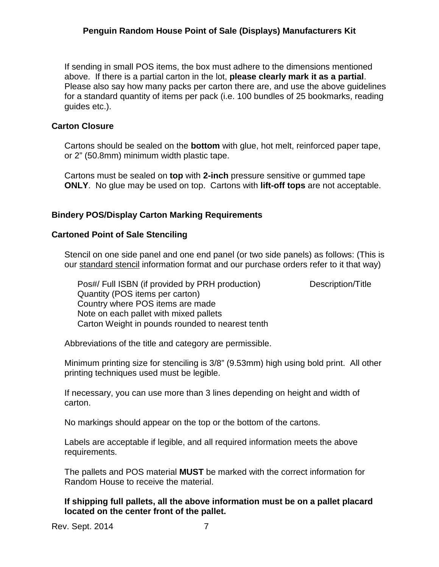If sending in small POS items, the box must adhere to the dimensions mentioned above. If there is a partial carton in the lot, **please clearly mark it as a partial**. Please also say how many packs per carton there are, and use the above guidelines for a standard quantity of items per pack (i.e. 100 bundles of 25 bookmarks, reading guides etc.).

#### **Carton Closure**

Cartons should be sealed on the **bottom** with glue, hot melt, reinforced paper tape, or 2" (50.8mm) minimum width plastic tape.

Cartons must be sealed on **top** with **2-inch** pressure sensitive or gummed tape **ONLY**. No glue may be used on top. Cartons with **lift-off tops** are not acceptable.

#### **Bindery POS/Display Carton Marking Requirements**

#### **Cartoned Point of Sale Stenciling**

Stencil on one side panel and one end panel (or two side panels) as follows: (This is our standard stencil information format and our purchase orders refer to it that way)

Pos#/ Full ISBN (if provided by PRH production) Description/Title Quantity (POS items per carton) Country where POS items are made Note on each pallet with mixed pallets Carton Weight in pounds rounded to nearest tenth

Abbreviations of the title and category are permissible.

Minimum printing size for stenciling is 3/8" (9.53mm) high using bold print. All other printing techniques used must be legible.

If necessary, you can use more than 3 lines depending on height and width of carton.

No markings should appear on the top or the bottom of the cartons.

Labels are acceptable if legible, and all required information meets the above requirements.

The pallets and POS material **MUST** be marked with the correct information for Random House to receive the material.

**If shipping full pallets, all the above information must be on a pallet placard located on the center front of the pallet.**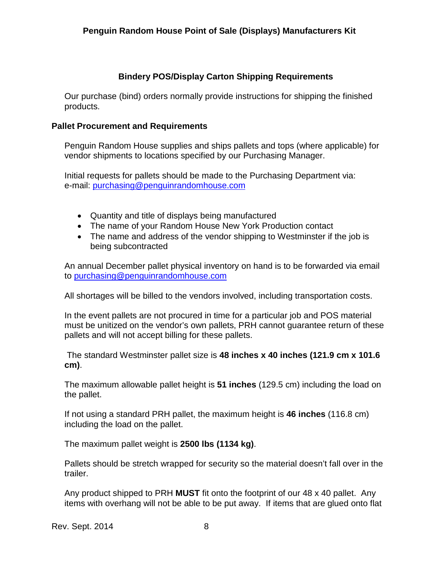## **Bindery POS/Display Carton Shipping Requirements**

Our purchase (bind) orders normally provide instructions for shipping the finished products.

#### **Pallet Procurement and Requirements**

Penguin Random House supplies and ships pallets and tops (where applicable) for vendor shipments to locations specified by our Purchasing Manager.

Initial requests for pallets should be made to the Purchasing Department via: e-mail: [purchasing@penguinrandomhouse.com](mailto:purchasing@penguinrandomhouse.com)

- Quantity and title of displays being manufactured
- The name of your Random House New York Production contact
- The name and address of the vendor shipping to Westminster if the job is being subcontracted

An annual December pallet physical inventory on hand is to be forwarded via email to [purchasing@penguinrandomhouse.com](mailto:purchasing@penguinrandomhouse.com)

All shortages will be billed to the vendors involved, including transportation costs.

In the event pallets are not procured in time for a particular job and POS material must be unitized on the vendor's own pallets, PRH cannot guarantee return of these pallets and will not accept billing for these pallets.

The standard Westminster pallet size is **48 inches x 40 inches (121.9 cm x 101.6 cm)**.

The maximum allowable pallet height is **51 inches** (129.5 cm) including the load on the pallet.

If not using a standard PRH pallet, the maximum height is **46 inches** (116.8 cm) including the load on the pallet.

The maximum pallet weight is **2500 lbs (1134 kg)**.

Pallets should be stretch wrapped for security so the material doesn't fall over in the trailer.

Any product shipped to PRH **MUST** fit onto the footprint of our 48 x 40 pallet. Any items with overhang will not be able to be put away. If items that are glued onto flat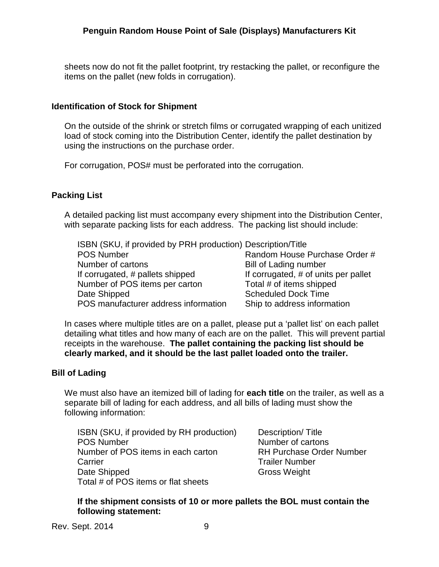sheets now do not fit the pallet footprint, try restacking the pallet, or reconfigure the items on the pallet (new folds in corrugation).

## **Identification of Stock for Shipment**

On the outside of the shrink or stretch films or corrugated wrapping of each unitized load of stock coming into the Distribution Center, identify the pallet destination by using the instructions on the purchase order.

For corrugation, POS# must be perforated into the corrugation.

# **Packing List**

A detailed packing list must accompany every shipment into the Distribution Center, with separate packing lists for each address. The packing list should include:

| ISBN (SKU, if provided by PRH production) Description/Title |                                      |
|-------------------------------------------------------------|--------------------------------------|
| <b>POS Number</b>                                           | Random House Purchase Order #        |
| Number of cartons                                           | <b>Bill of Lading number</b>         |
| If corrugated, # pallets shipped                            | If corrugated, # of units per pallet |
| Number of POS items per carton                              | Total # of items shipped             |
| Date Shipped                                                | <b>Scheduled Dock Time</b>           |
| POS manufacturer address information                        | Ship to address information          |

In cases where multiple titles are on a pallet, please put a 'pallet list' on each pallet detailing what titles and how many of each are on the pallet. This will prevent partial receipts in the warehouse. **The pallet containing the packing list should be clearly marked, and it should be the last pallet loaded onto the trailer.**

#### **Bill of Lading**

We must also have an itemized bill of lading for **each title** on the trailer, as well as a separate bill of lading for each address, and all bills of lading must show the following information:

ISBN (SKU, if provided by RH production) Description/Title POS Number Number of cartons Number of POS items in each carton RH Purchase Order Number Carrier **Carrier Carrier Carrier Number Trailer Number** Date Shipped Gross Weight Total # of POS items or flat sheets

#### **If the shipment consists of 10 or more pallets the BOL must contain the following statement:**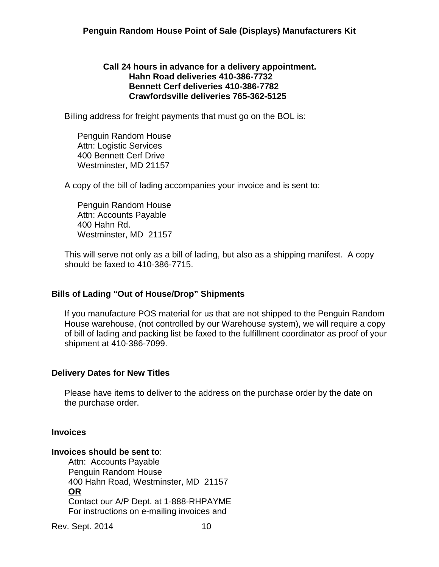#### **Call 24 hours in advance for a delivery appointment. Hahn Road deliveries 410-386-7732 Bennett Cerf deliveries 410-386-7782 Crawfordsville deliveries 765-362-5125**

Billing address for freight payments that must go on the BOL is:

Penguin Random House Attn: Logistic Services 400 Bennett Cerf Drive Westminster, MD 21157

A copy of the bill of lading accompanies your invoice and is sent to:

Penguin Random House Attn: Accounts Payable 400 Hahn Rd. Westminster, MD 21157

This will serve not only as a bill of lading, but also as a shipping manifest. A copy should be faxed to 410-386-7715.

#### **Bills of Lading "Out of House/Drop" Shipments**

If you manufacture POS material for us that are not shipped to the Penguin Random House warehouse, (not controlled by our Warehouse system), we will require a copy of bill of lading and packing list be faxed to the fulfillment coordinator as proof of your shipment at 410-386-7099.

#### **Delivery Dates for New Titles**

Please have items to deliver to the address on the purchase order by the date on the purchase order.

#### **Invoices**

#### **Invoices should be sent to**:

 Attn: Accounts Payable Penguin Random House 400 Hahn Road, Westminster, MD 21157 **OR** Contact our A/P Dept. at 1-888-RHPAYME For instructions on e-mailing invoices and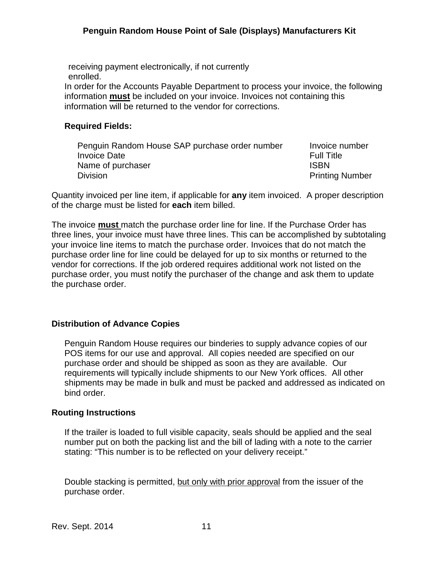receiving payment electronically, if not currently enrolled. In order for the Accounts Payable Department to process your invoice, the following information **must** be included on your invoice. Invoices not containing this information will be returned to the vendor for corrections.

# **Required Fields:**

| Penguin Random House SAP purchase order number | Invoice number         |
|------------------------------------------------|------------------------|
| <b>Invoice Date</b>                            | <b>Full Title</b>      |
| Name of purchaser                              | <b>ISBN</b>            |
| <b>Division</b>                                | <b>Printing Number</b> |

Quantity invoiced per line item, if applicable for **any** item invoiced. A proper description of the charge must be listed for **each** item billed.

The invoice **must** match the purchase order line for line. If the Purchase Order has three lines, your invoice must have three lines. This can be accomplished by subtotaling your invoice line items to match the purchase order. Invoices that do not match the purchase order line for line could be delayed for up to six months or returned to the vendor for corrections. If the job ordered requires additional work not listed on the purchase order, you must notify the purchaser of the change and ask them to update the purchase order.

#### **Distribution of Advance Copies**

Penguin Random House requires our binderies to supply advance copies of our POS items for our use and approval. All copies needed are specified on our purchase order and should be shipped as soon as they are available. Our requirements will typically include shipments to our New York offices. All other shipments may be made in bulk and must be packed and addressed as indicated on bind order.

#### **Routing Instructions**

If the trailer is loaded to full visible capacity, seals should be applied and the seal number put on both the packing list and the bill of lading with a note to the carrier stating: "This number is to be reflected on your delivery receipt."

Double stacking is permitted, but only with prior approval from the issuer of the purchase order.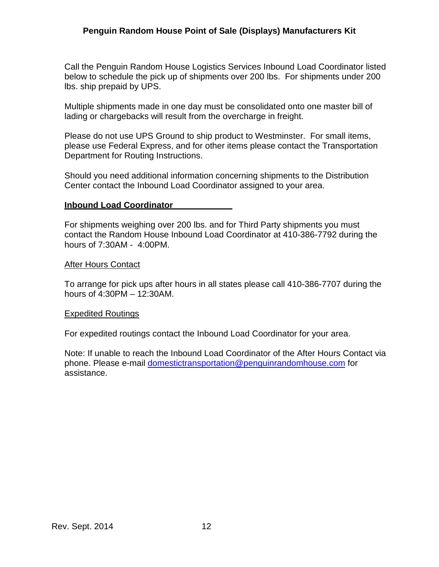Call the Penguin Random House Logistics Services Inbound Load Coordinator listed below to schedule the pick up of shipments over 200 lbs. For shipments under 200 lbs. ship prepaid by UPS.

Multiple shipments made in one day must be consolidated onto one master bill of lading or chargebacks will result from the overcharge in freight.

Please do not use UPS Ground to ship product to Westminster. For small items, please use Federal Express, and for other items please contact the Transportation Department for Routing Instructions.

Should you need additional information concerning shipments to the Distribution Center contact the Inbound Load Coordinator assigned to your area.

#### **Inbound Load Coordinator**

For shipments weighing over 200 lbs. and for Third Party shipments you must contact the Random House Inbound Load Coordinator at 410-386-7792 during the hours of 7:30AM - 4:00PM.

#### After Hours Contact

To arrange for pick ups after hours in all states please call 410-386-7707 during the hours of 4:30PM – 12:30AM.

#### Expedited Routings

For expedited routings contact the Inbound Load Coordinator for your area.

Note: If unable to reach the Inbound Load Coordinator of the After Hours Contact via phone. Please e-mail [domestictransportation@penguinrandomhouse.com](mailto:domestictransportation@penguinrandomhouse.com) for assistance.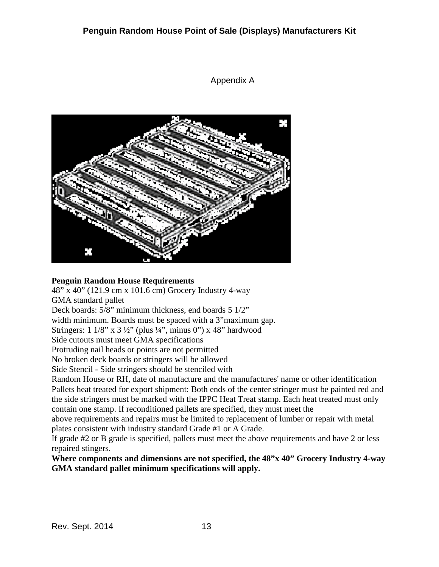×

### Appendix A

#### **Penguin Random House Requirements**

48" x 40" (121.9 cm x 101.6 cm) Grocery Industry 4-way GMA standard pallet

Deck boards: 5/8" minimum thickness, end boards 5 1/2"

width minimum. Boards must be spaced with a 3"maximum gap.

Stringers:  $1 \frac{1}{8}$ " x  $3 \frac{1}{2}$ " (plus  $\frac{1}{4}$ ", minus 0") x 48" hardwood

Side cutouts must meet GMA specifications

Protruding nail heads or points are not permitted

No broken deck boards or stringers will be allowed

Side Stencil - Side stringers should be stenciled with

Random House or RH, date of manufacture and the manufactures' name or other identification Pallets heat treated for export shipment: Both ends of the center stringer must be painted red and the side stringers must be marked with the IPPC Heat Treat stamp. Each heat treated must only contain one stamp. If reconditioned pallets are specified, they must meet the

above requirements and repairs must be limited to replacement of lumber or repair with metal plates consistent with industry standard Grade #1 or A Grade.

If grade #2 or B grade is specified, pallets must meet the above requirements and have 2 or less repaired stingers.

**Where components and dimensions are not specified, the 48"x 40" Grocery Industry 4-way GMA standard pallet minimum specifications will apply.**